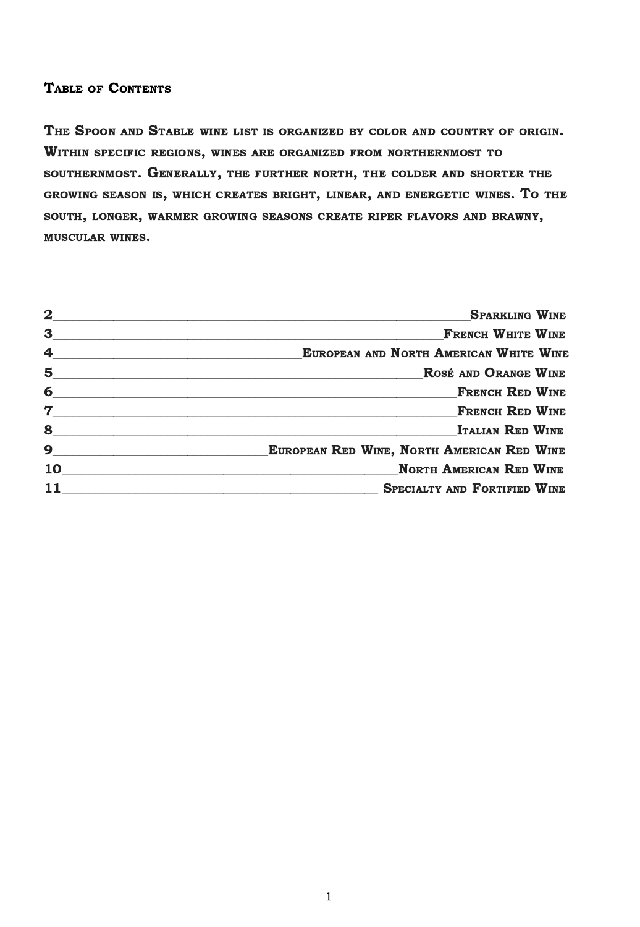#### TABLE OF CONTENTS

THE SPOON AND STABLE WINE LIST IS ORGANIZED BY COLOR AND COUNTRY OF ORIGIN. WITHIN SPECIFIC REGIONS, WINES ARE ORGANIZED FROM NORTHERNMOST TO SOUTHERNMOST. GENERALLY, THE FURTHER NORTH, THE COLDER AND SHORTER THE GROWING SEASON IS, WHICH CREATES BRIGHT, LINEAR, AND ENERGETIC WINES. TO THE SOUTH, LONGER, WARMER GROWING SEASONS CREATE RIPER FLAVORS AND BRAWNY, MUSCULAR WINES.

| $\mathbf{2}$   | <b>SPARKLING WINE</b>                                                                                                                                                                                                                                                                                                                                                                                                                                                                         |
|----------------|-----------------------------------------------------------------------------------------------------------------------------------------------------------------------------------------------------------------------------------------------------------------------------------------------------------------------------------------------------------------------------------------------------------------------------------------------------------------------------------------------|
| 3              | <b>FRENCH WHITE WINE</b>                                                                                                                                                                                                                                                                                                                                                                                                                                                                      |
| $\overline{4}$ | EUROPEAN AND NORTH AMERICAN WHITE WINE                                                                                                                                                                                                                                                                                                                                                                                                                                                        |
|                | $5$ $\overline{\phantom{a}}$ $\overline{\phantom{a}}$ $\overline{\phantom{a}}$ $\overline{\phantom{a}}$ $\overline{\phantom{a}}$ $\overline{\phantom{a}}$ $\overline{\phantom{a}}$ $\overline{\phantom{a}}$ $\overline{\phantom{a}}$ $\overline{\phantom{a}}$ $\overline{\phantom{a}}$ $\overline{\phantom{a}}$ $\overline{\phantom{a}}$ $\overline{\phantom{a}}$ $\overline{\phantom{a}}$ $\overline{\phantom{a}}$ $\overline{\phantom{a}}$ $\overline{\phantom{a}}$<br>ROSÉ AND ORANGE WINE |
| 6              | <b>FRENCH RED WINE</b>                                                                                                                                                                                                                                                                                                                                                                                                                                                                        |
| 7 <sup>7</sup> | <b>FRENCH RED WINE</b><br>the control of the control of the control of the control of the control of the control of                                                                                                                                                                                                                                                                                                                                                                           |
| 8              | <b>ITALIAN RED WINE</b>                                                                                                                                                                                                                                                                                                                                                                                                                                                                       |
| $\mathbf{9}$   | EUROPEAN RED WINE, NORTH AMERICAN RED WINE                                                                                                                                                                                                                                                                                                                                                                                                                                                    |
| 10             | <b>NORTH AMERICAN RED WINE</b>                                                                                                                                                                                                                                                                                                                                                                                                                                                                |
|                | <b>SPECIALTY AND FORTIFIED WINE</b>                                                                                                                                                                                                                                                                                                                                                                                                                                                           |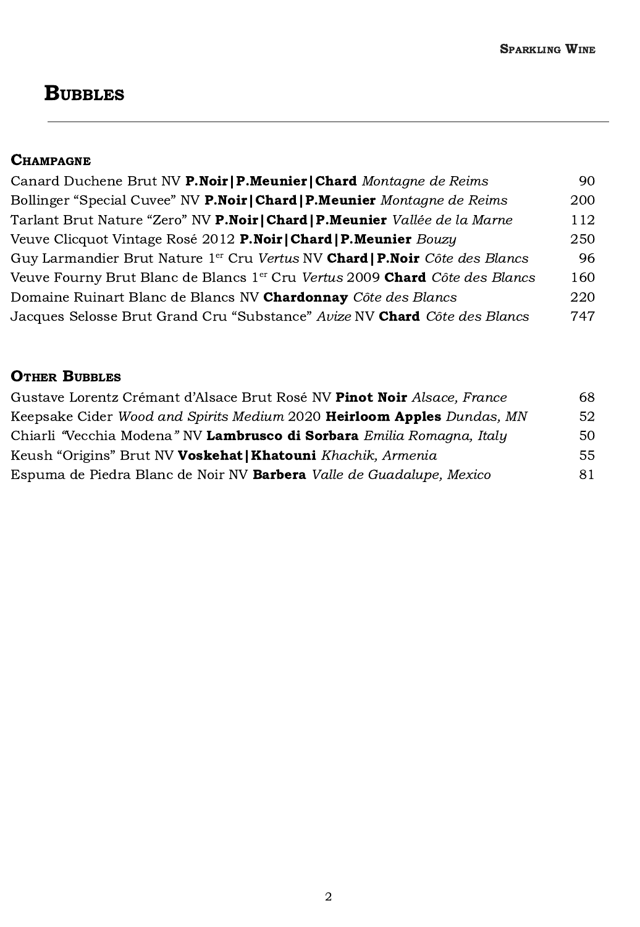# **BUBBLES**

#### **CHAMPAGNE**

| Canard Duchene Brut NV P.Noir   P.Meunier   Chard Montagne de Reims                            | 90. |
|------------------------------------------------------------------------------------------------|-----|
| Bollinger "Special Cuvee" NV <b>P.Noir   Chard   P.Meunier</b> Montagne de Reims               | 200 |
| Tarlant Brut Nature "Zero" NV P.Noir   Chard   P.Meunier Vallée de la Marne                    | 112 |
| Veuve Clicquot Vintage Rosé 2012 P.Noir   Chard   P.Meunier Bouzy                              | 250 |
| Guy Larmandier Brut Nature 1 <sup>er</sup> Cru Vertus NV <b>Chard   P.Noir</b> Côte des Blancs | 96  |
| Veuve Fourny Brut Blanc de Blancs 1 <sup>er</sup> Cru Vertus 2009 Chard Côte des Blancs        | 160 |
| Domaine Ruinart Blanc de Blancs NV Chardonnay Côte des Blancs                                  | 220 |
| Jacques Selosse Brut Grand Cru "Substance" Avize NV Chard Côte des Blancs                      | 747 |

#### **OTHER BUBBLES**

| Gustave Lorentz Crémant d'Alsace Brut Rosé NV Pinot Noir Alsace, France              | 68  |
|--------------------------------------------------------------------------------------|-----|
| Keepsake Cider <i>Wood and Spirits Medium</i> 2020 <b>Heirloom Apples</b> Dundas, MN | 52  |
| Chiarli "Vecchia Modena" NV Lambrusco di Sorbara Emilia Romagna, Italy               | 50  |
| Keush "Origins" Brut NV Voskehat   Khatouni Khachik, Armenia                         | 55. |
| Espuma de Piedra Blanc de Noir NV <b>Barbera</b> <i>Valle de Guadalupe, Mexico</i>   | 81  |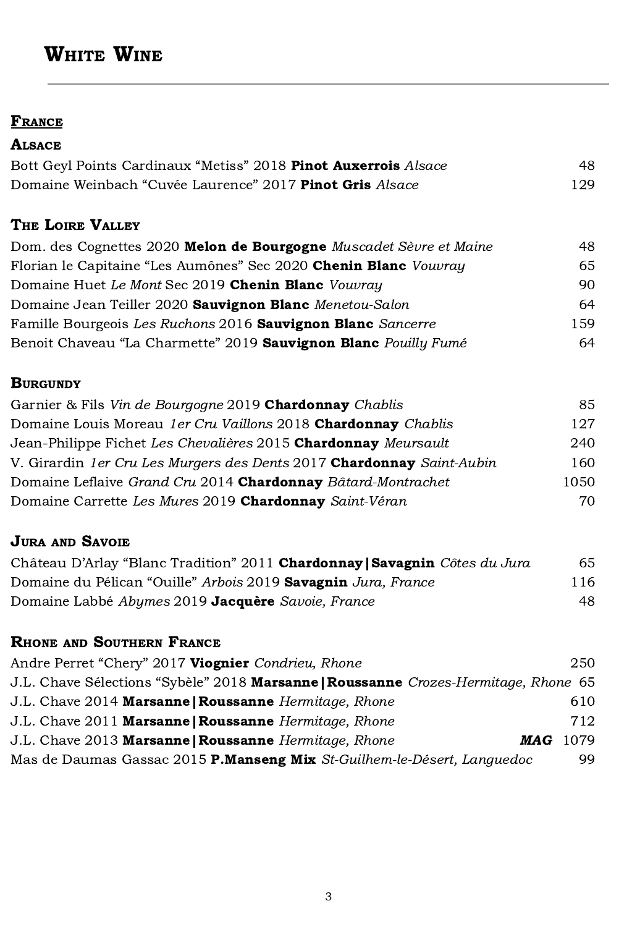# WHITE WINE

#### **FRANCE**

#### **ALSACE**

| Bott Geyl Points Cardinaux "Metiss" 2018 Pinot Auxerrois Alsace | 48.  |
|-----------------------------------------------------------------|------|
| Domaine Weinbach "Cuvée Laurence" 2017 Pinot Gris Alsace        | 129. |

## THE LOIRE VALLEY

| Dom. des Cognettes 2020 Melon de Bourgogne Muscadet Sèvre et Maine | 48  |
|--------------------------------------------------------------------|-----|
| Florian le Capitaine "Les Aumônes" Sec 2020 Chenin Blanc Vouvray   | 65  |
| Domaine Huet Le Mont Sec 2019 Chenin Blanc Vouvray                 | 90  |
| Domaine Jean Teiller 2020 Sauvignon Blanc Menetou-Salon            | 64  |
| Famille Bourgeois Les Ruchons 2016 Sauvignon Blanc Sancerre        | 159 |
| Benoit Chaveau "La Charmette" 2019 Sauvignon Blanc Pouilly Fumé    | 64  |

#### **BURGUNDY**

| 85.  |
|------|
| 127  |
| 240  |
| 160  |
| 1050 |
| 70.  |
|      |

## **JURA AND SAVOIE**

| Château D'Arlay "Blanc Tradition" 2011 Chardonnay   Savagnin Côtes du Jura | 65  |
|----------------------------------------------------------------------------|-----|
| Domaine du Pélican "Ouille" Arbois 2019 Savagnin Jura, France              | 116 |
| Domaine Labbé Abymes 2019 Jacquère Savoie, France                          | 48. |

## RHONE AND SOUTHERN FRANCE

| Andre Perret "Chery" 2017 Viognier Condrieu, Rhone                                  | 250  |
|-------------------------------------------------------------------------------------|------|
| J.L. Chave Sélections "Sybèle" 2018 Marsanne   Roussanne Crozes-Hermitage, Rhone 65 |      |
| J.L. Chave 2014 Marsanne   Roussanne Hermitage, Rhone                               | 610  |
| J.L. Chave 2011 Marsanne   Roussanne Hermitage, Rhone                               | 712  |
| J.L. Chave 2013 Marsanne   Roussanne Hermitage, Rhone<br>MAG                        | 1079 |
| Mas de Daumas Gassac 2015 P.Manseng Mix St-Guilhem-le-Désert, Languedoc             | 99.  |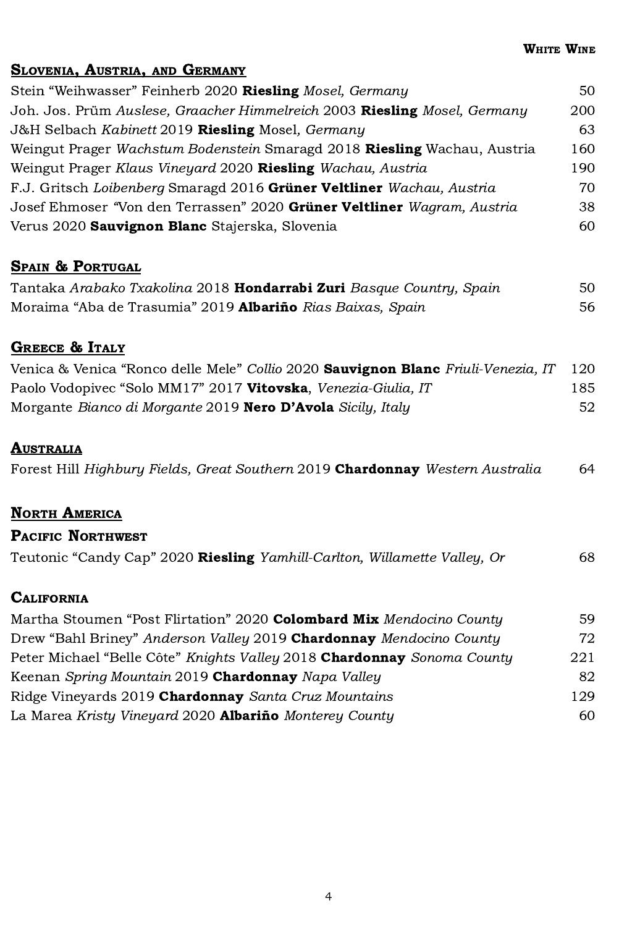## SLOVENIA, AUSTRIA, AND GERMANY

| Stein "Weihwasser" Feinherb 2020 Riesling Mosel, Germany                  | 50  |
|---------------------------------------------------------------------------|-----|
| Joh. Jos. Prüm Auslese, Graacher Himmelreich 2003 Riesling Mosel, Germany | 200 |
| J&H Selbach Kabinett 2019 Riesling Mosel, Germany                         | 63  |
| Weingut Prager Wachstum Bodenstein Smaragd 2018 Riesling Wachau, Austria  | 160 |
| Weingut Prager Klaus Vineyard 2020 Riesling Wachau, Austria               | 190 |
| F.J. Gritsch Loibenberg Smaragd 2016 Grüner Veltliner Wachau, Austria     | 70  |
| Josef Ehmoser "Von den Terrassen" 2020 Grüner Veltliner Wagram, Austria   | 38  |
| Verus 2020 Sauvignon Blanc Stajerska, Slovenia                            | 60  |

## SPAIN & PORTUGAL

| Tantaka Arabako Txakolina 2018 <b>Hondarrabi Zuri</b> Basque Country, Spain | 50 |
|-----------------------------------------------------------------------------|----|
| Moraima "Aba de Trasumia" 2019 <b>Albariño</b> Rias Baixas, Spain           | 56 |

#### GREECE & ITALY

| Venica & Venica "Ronco delle Mele" Collio 2020 <b>Sauvignon Blanc</b> Friuli-Venezia, IT 120 |     |
|----------------------------------------------------------------------------------------------|-----|
| Paolo Vodopivec "Solo MM17" 2017 Vitovska, Venezia-Giulia, IT                                | 185 |
| Morgante Bianco di Morgante 2019 <b>Nero D'Avola</b> Sicily, Italy                           | 52  |

### **AUSTRALIA**

|  |  | Forest Hill Highbury Fields, Great Southern 2019 Chardonnay Western Australia | 64 |
|--|--|-------------------------------------------------------------------------------|----|
|--|--|-------------------------------------------------------------------------------|----|

#### **NORTH AMERICA**

| <b>PACIFIC NORTHWEST</b>                                                  |    |
|---------------------------------------------------------------------------|----|
| Teutonic "Candy Cap" 2020 Riesling Yamhill-Carlton, Willamette Valley, Or | 68 |

#### **CALIFORNIA**

| 59  |
|-----|
| 72  |
| 221 |
| 82  |
| 129 |
| 60. |
|     |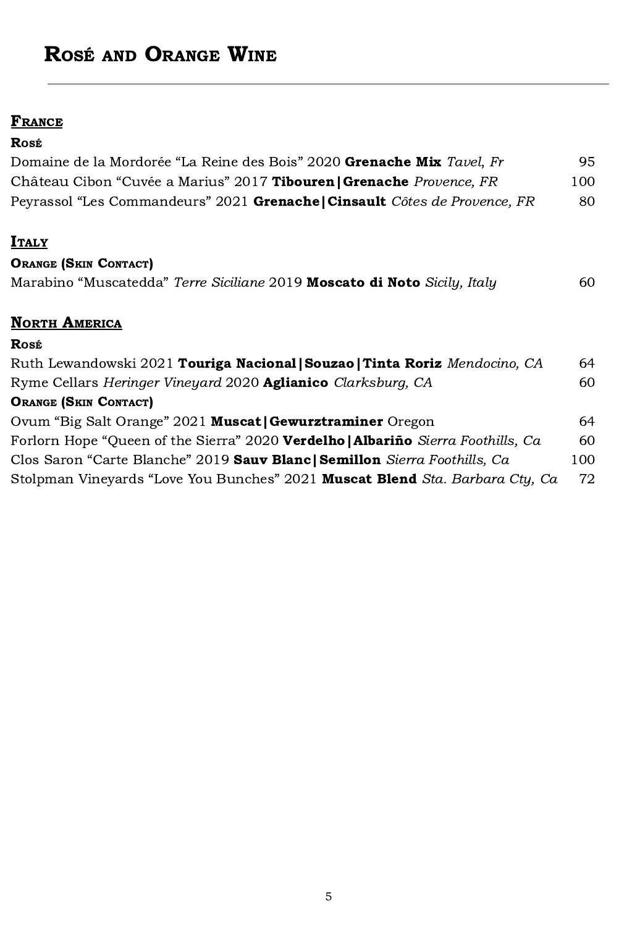# ROSÉ AND ORANGE WINE

#### **FRANCE**

### ROSÉ

| Domaine de la Mordorée "La Reine des Bois" 2020 Grenache Mix Tavel, Fr     | 95  |
|----------------------------------------------------------------------------|-----|
| Château Cibon "Cuvée a Marius" 2017 Tibouren   Grenache Provence, FR       | 100 |
| Peyrassol "Les Commandeurs" 2021 Grenache   Cinsault Côtes de Provence, FR | 80. |

## **ITALY**

#### ORANGE (SKIN CONTACT)

| Marabino "Muscatedda" Terre Siciliane 2019 Moscato di Noto Sicily, Italy |  |  | 60 |
|--------------------------------------------------------------------------|--|--|----|
|                                                                          |  |  |    |

### **NORTH AMERICA**

| Rosé                                                                             |     |
|----------------------------------------------------------------------------------|-----|
| Ruth Lewandowski 2021 Touriga Nacional   Souzao   Tinta Roriz Mendocino, CA      | 64  |
| Ryme Cellars Heringer Vineyard 2020 Aglianico Clarksburg, CA                     | 60  |
| <b>ORANGE (SKIN CONTACT)</b>                                                     |     |
| Ovum "Big Salt Orange" 2021 Muscat   Gewurztraminer Oregon                       | 64  |
| Forlorn Hope "Queen of the Sierra" 2020 Verdelho   Albariño Sierra Foothills, Ca | 60  |
| Clos Saron "Carte Blanche" 2019 Sauv Blanc   Semillon Sierra Foothills, Ca       | 100 |
| Stolpman Vineyards "Love You Bunches" 2021 Muscat Blend Sta. Barbara Cty, Ca     | 72  |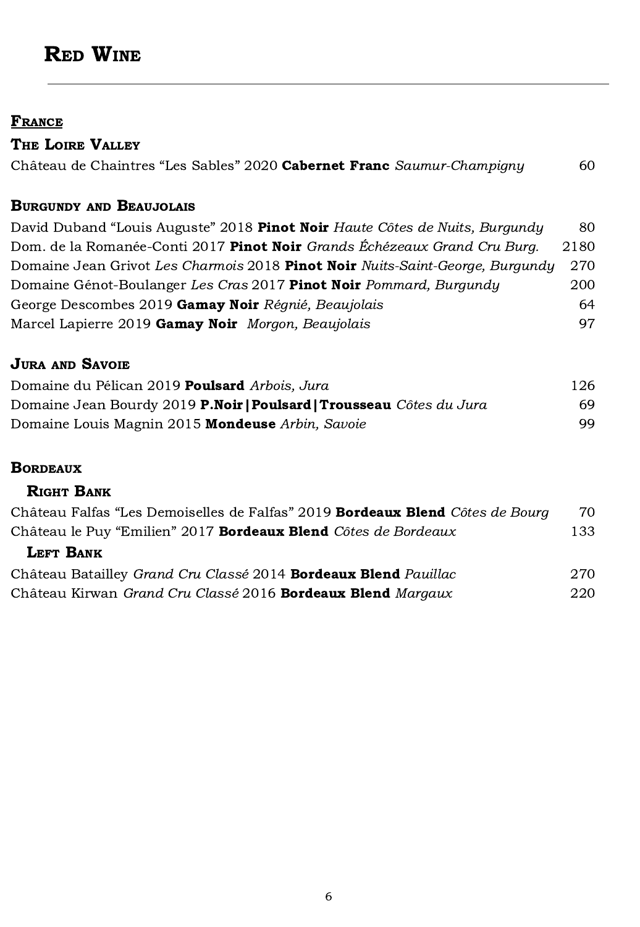# RED WINE

#### **FRANCE**

| THE LOIRE VALLEY                                                       |     |
|------------------------------------------------------------------------|-----|
| Château de Chaintres "Les Sables" 2020 Cabernet Franc Saumur-Champigny | 60. |

#### BURGUNDY AND BEAUJOLAIS

| David Duband "Louis Auguste" 2018 Pinot Noir Haute Côtes de Nuits, Burgundy   | -80  |
|-------------------------------------------------------------------------------|------|
| Dom. de la Romanée-Conti 2017 Pinot Noir Grands Échézeaux Grand Cru Burg.     | 2180 |
| Domaine Jean Grivot Les Charmois 2018 Pinot Noir Nuits-Saint-George, Burgundy | 270  |
| Domaine Génot-Boulanger Les Cras 2017 Pinot Noir Pommard, Burgundy            | 200  |
| George Descombes 2019 Gamay Noir Réqnié, Beaujolais                           | 64   |
| Marcel Lapierre 2019 Gamay Noir Morgon, Beaujolais                            | 97.  |

### **JURA AND SAVOIE**

| Domaine du Pélican 2019 Poulsard Arbois, Jura                        | 126 |
|----------------------------------------------------------------------|-----|
| Domaine Jean Bourdy 2019 P.Noir   Poulsard   Trousseau Côtes du Jura | 69. |
| Domaine Louis Magnin 2015 Mondeuse Arbin, Savoie                     | 99. |

#### **BORDEAUX**

### RIGHT BANK

| Château Falfas "Les Demoiselles de Falfas" 2019 <b>Bordeaux Blend</b> Côtes de Bourg | 70   |
|--------------------------------------------------------------------------------------|------|
| Château le Puy "Emilien" 2017 Bordeaux Blend Côtes de Bordeaux                       | 133. |
| <b>LEFT BANK</b>                                                                     |      |
| Château Batailley Grand Cru Classé 2014 Bordeaux Blend Pauillac                      | 270  |
| Château Kirwan Grand Cru Classé 2016 Bordeaux Blend Margaux                          | 220  |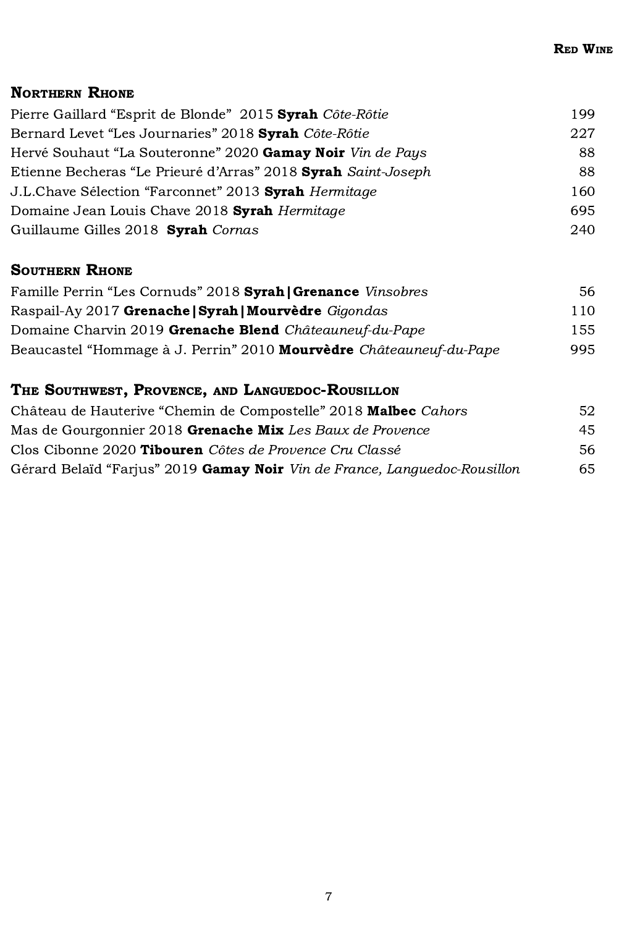## NORTHERN RHONE

| Pierre Gaillard "Esprit de Blonde" 2015 Syrah Côte-Rôtie      | 199 |
|---------------------------------------------------------------|-----|
| Bernard Levet "Les Journaries" 2018 Syrah Côte-Rôtie          | 227 |
| Hervé Souhaut "La Souteronne" 2020 Gamay Noir Vin de Pays     | -88 |
| Etienne Becheras "Le Prieuré d'Arras" 2018 Syrah Saint-Joseph | 88. |
| J.L.Chave Sélection "Farconnet" 2013 Syrah Hermitage          | 160 |
| Domaine Jean Louis Chave 2018 Syrah Hermitage                 | 695 |
| Guillaume Gilles 2018 Syrah Cornas                            | 240 |

## SOUTHERN RHONE

| Famille Perrin "Les Cornuds" 2018 Syrah   Grenance Vinsobres        | 56. |
|---------------------------------------------------------------------|-----|
| Raspail-Ay 2017 Grenache   Syrah   Mourvèdre Gigondas               | 110 |
| Domaine Charvin 2019 Grenache Blend Châteauneuf-du-Pape             | 155 |
| Beaucastel "Hommage à J. Perrin" 2010 Mourvèdre Châteauneuf-du-Pape | 995 |

# THE SOUTHWEST, PROVENCE, AND LANGUEDOC-ROUSILLON

| Château de Hauterive "Chemin de Compostelle" 2018 Malbec Cahors                  | 52. |
|----------------------------------------------------------------------------------|-----|
| Mas de Gourgonnier 2018 Grenache Mix Les Baux de Provence                        | 45  |
| Clos Cibonne 2020 Tibouren Côtes de Provence Cru Classé                          | 56. |
| Gérard Belaïd "Farjus" 2019 <b>Gamay Noir</b> Vin de France, Languedoc-Rousillon | 65  |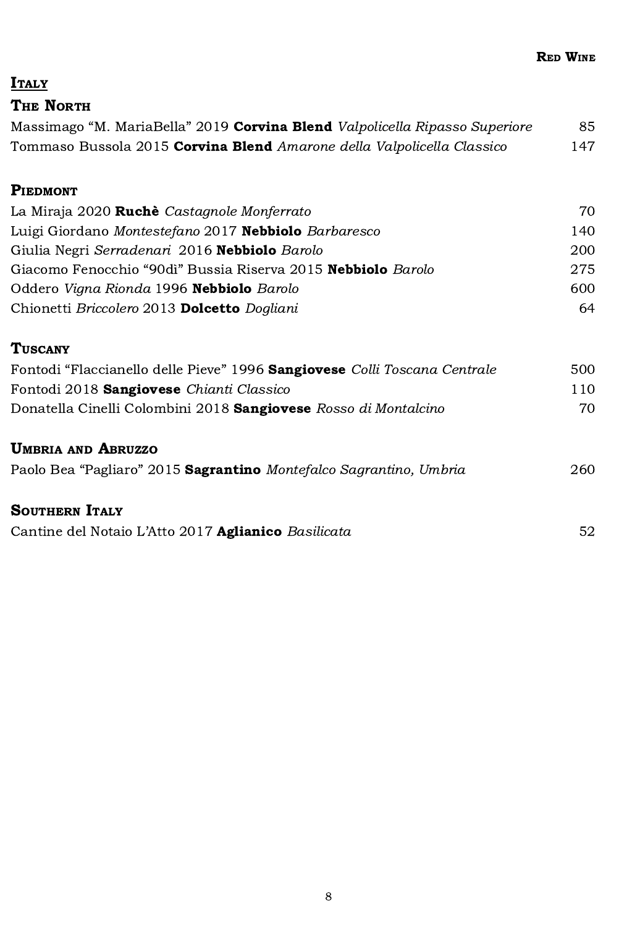## **ITALY**

## THE NORTH

| Massimago "M. MariaBella" 2019 Corvina Blend Valpolicella Ripasso Superiore | 85  |
|-----------------------------------------------------------------------------|-----|
| Tommaso Bussola 2015 Corvina Blend Amarone della Valpolicella Classico      | 147 |

#### **PIEDMONT**

| La Miraja 2020 Ruchè Castagnole Monferrato                   | 70. |
|--------------------------------------------------------------|-----|
| Luigi Giordano Montestefano 2017 Nebbiolo Barbaresco         | 140 |
| Giulia Negri Serradenari 2016 Nebbiolo Barolo                | 200 |
| Giacomo Fenocchio "90di" Bussia Riserva 2015 Nebbiolo Barolo | 275 |
| Oddero Vigna Rionda 1996 Nebbiolo Barolo                     | 600 |
| Chionetti Briccolero 2013 Dolcetto Dogliani                  | 64  |

#### **TUSCANY**

| Fontodi "Flaccianello delle Pieve" 1996 Sangiovese Colli Toscana Centrale | 500 |
|---------------------------------------------------------------------------|-----|
| Fontodi 2018 Sangiovese Chianti Classico                                  | 110 |
| Donatella Cinelli Colombini 2018 Sangiovese Rosso di Montalcino           | 70. |
|                                                                           |     |

# UMBRIA AND ABRUZZO

|  |  | Paolo Bea "Pagliaro" 2015 Sagrantino Montefalco Sagrantino, Umbria |  |  |  | 260 |
|--|--|--------------------------------------------------------------------|--|--|--|-----|
|--|--|--------------------------------------------------------------------|--|--|--|-----|

#### SOUTHERN ITALY

| Cantine del Notaio L'Atto 2017 Aglianico Basilicata |  |
|-----------------------------------------------------|--|
|                                                     |  |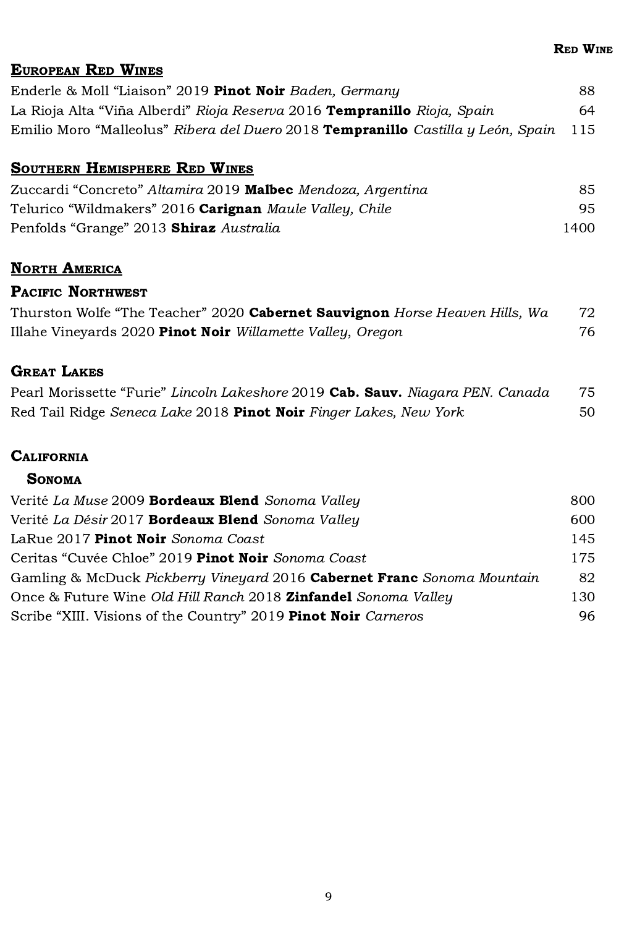#### EUROPEAN RED WINES

| Enderle & Moll "Liaison" 2019 <b>Pinot Noir</b> Baden, Germany                                            | 88. |
|-----------------------------------------------------------------------------------------------------------|-----|
| La Rioja Alta "Viña Alberdi" <i>Rioja Reserva</i> 2016 <b>Tempranillo</b> <i>Rioja, Spain</i>             | 64. |
| Emilio Moro "Malleolus" <i>Ribera del Duero</i> 2018 <b>Tempranillo</b> <i>Castilla y León, Spain</i> 115 |     |

#### SOUTHERN HEMISPHERE RED WINES

| Zuccardi "Concreto" Altamira 2019 Malbec Mendoza, Argentina    | 85   |
|----------------------------------------------------------------|------|
| Telurico "Wildmakers" 2016 <b>Carignan</b> Maule Valley, Chile | 95.  |
| Penfolds "Grange" 2013 <b>Shiraz</b> Australia                 | 1400 |

### **NORTH AMERICA**

## PACIFIC NORTHWEST

| Thurston Wolfe "The Teacher" 2020 Cabernet Sauvignon Horse Heaven Hills, Wa | 72 |
|-----------------------------------------------------------------------------|----|
| Illahe Vineyards 2020 Pinot Noir Willamette Valley, Oregon                  | 76 |

### **GREAT LAKES**

| Pearl Morissette "Furie" Lincoln Lakeshore 2019 Cab. Sauv. Niagara PEN. Canada | 75 |
|--------------------------------------------------------------------------------|----|
| Red Tail Ridge Seneca Lake 2018 Pinot Noir Finger Lakes, New York              | 50 |

#### **CALIFORNIA**

#### **SONOMA**

| Verité La Muse 2009 Bordeaux Blend Sonoma Valley                        | 800 |
|-------------------------------------------------------------------------|-----|
| Verité La Désir 2017 Bordeaux Blend Sonoma Valley                       | 600 |
| LaRue 2017 Pinot Noir Sonoma Coast                                      | 145 |
| Ceritas "Cuvée Chloe" 2019 Pinot Noir Sonoma Coast                      | 175 |
| Gamling & McDuck Pickberry Vineyard 2016 Cabernet Franc Sonoma Mountain | 82  |
| Once & Future Wine Old Hill Ranch 2018 Zinfandel Sonoma Valley          | 130 |
| Scribe "XIII. Visions of the Country" 2019 Pinot Noir Carneros          | 96  |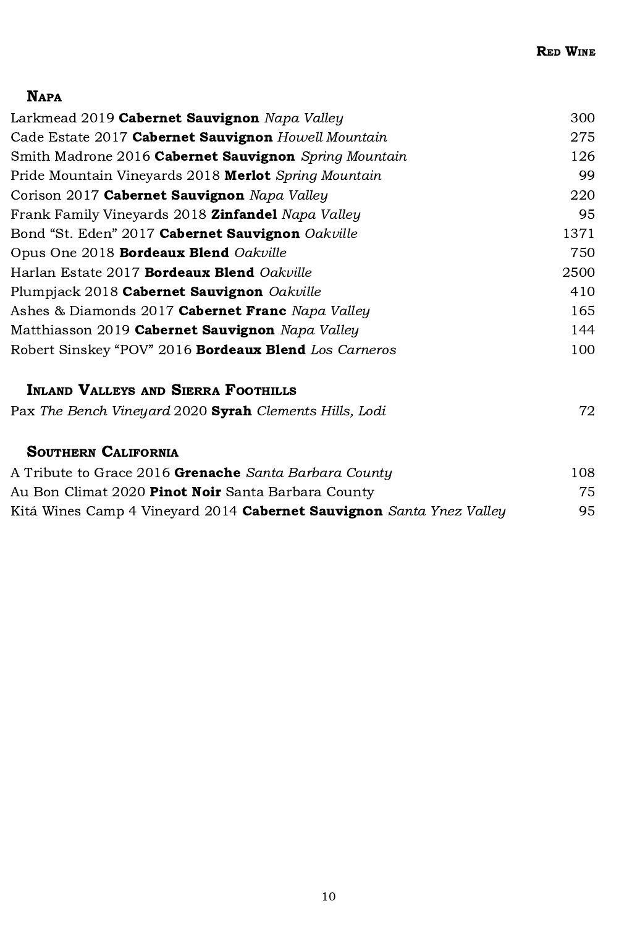# NAPA

| Larkmead 2019 Cabernet Sauvignon Napa Valley                         | 300  |
|----------------------------------------------------------------------|------|
| Cade Estate 2017 Cabernet Sauvignon Howell Mountain                  | 275  |
| Smith Madrone 2016 Cabernet Sauvignon Spring Mountain                | 126  |
| Pride Mountain Vineyards 2018 Merlot Spring Mountain                 | 99   |
| Corison 2017 Cabernet Sauvignon Napa Valley                          | 220  |
| Frank Family Vineyards 2018 <b>Zinfandel</b> Napa Valley             | 95   |
| Bond "St. Eden" 2017 Cabernet Sauvignon Oakville                     | 1371 |
| Opus One 2018 Bordeaux Blend Oakville                                | 750  |
| Harlan Estate 2017 <b>Bordeaux Blend</b> Oakville                    | 2500 |
| Plumpjack 2018 Cabernet Sauvignon Oakville                           | 410  |
| Ashes & Diamonds 2017 Cabernet Franc Napa Valley                     | 165  |
| Matthiasson 2019 Cabernet Sauvignon Napa Valley                      | 144  |
| Robert Sinskey "POV" 2016 Bordeaux Blend Los Carneros                | 100  |
| <b>INLAND VALLEYS AND SIERRA FOOTHILLS</b>                           |      |
| Pax The Bench Vineyard 2020 Syrah Clements Hills, Lodi               | 72.  |
| <b>SOUTHERN CALIFORNIA</b>                                           |      |
| A Tribute to Grace 2016 Grenache Santa Barbara County                | 108  |
| Au Bon Climat 2020 <b>Pinot Noir</b> Santa Barbara County            | 75   |
| Kitá Wines Camp 4 Vineyard 2014 Cabernet Sauvignon Santa Ynez Valley | 95   |